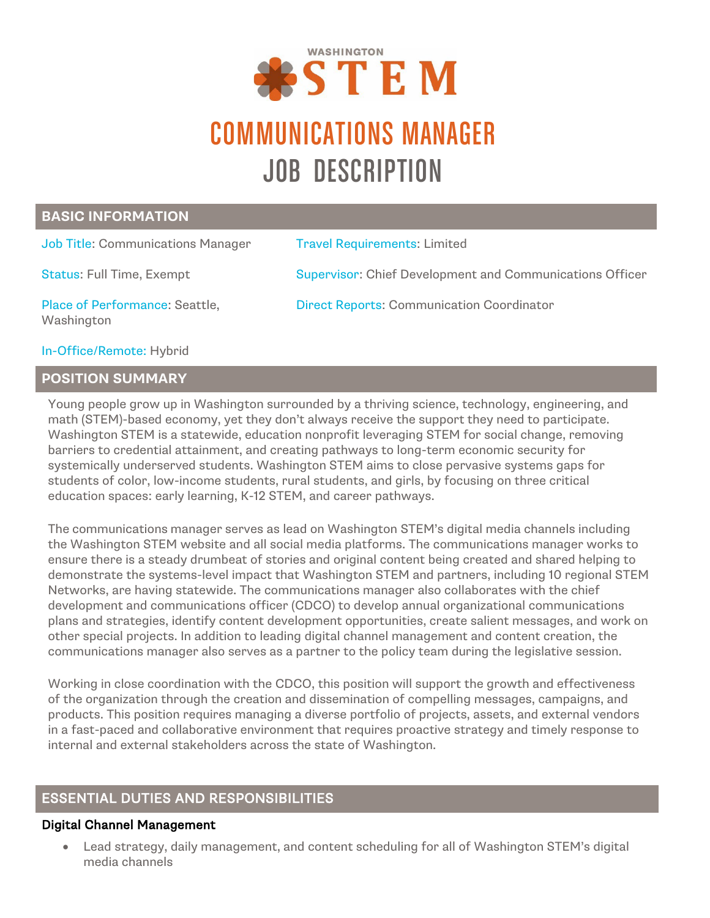

# COMMUNICATIONS MANAGER JOB DESCRIPTION

### **BASIC INFORMATION**

| <b>Job Title: Communications Manager</b>     | <b>Travel Requirements: Limited</b>                             |
|----------------------------------------------|-----------------------------------------------------------------|
| <b>Status: Full Time, Exempt</b>             | <b>Supervisor: Chief Development and Communications Officer</b> |
| Place of Performance: Seattle,<br>Washington | <b>Direct Reports: Communication Coordinator</b>                |

In-Office/Remote: Hybrid

# **POSITION SUMMARY**

Young people grow up in Washington surrounded by a thriving science, technology, engineering, and math (STEM)-based economy, yet they don't always receive the support they need to participate. Washington STEM is a statewide, education nonprofit leveraging STEM for social change, removing barriers to credential attainment, and creating pathways to long-term economic security for systemically underserved students. Washington STEM aims to close pervasive systems gaps for students of color, low-income students, rural students, and girls, by focusing on three critical education spaces: early learning, K-12 STEM, and career pathways.

The communications manager serves as lead on Washington STEM's digital media channels including the Washington STEM website and all social media platforms. The communications manager works to ensure there is a steady drumbeat of stories and original content being created and shared helping to demonstrate the systems-level impact that Washington STEM and partners, including 10 regional STEM Networks, are having statewide. The communications manager also collaborates with the chief development and communications officer (CDCO) to develop annual organizational communications plans and strategies, identify content development opportunities, create salient messages, and work on other special projects. In addition to leading digital channel management and content creation, the communications manager also serves as a partner to the policy team during the legislative session.

Working in close coordination with the CDCO, this position will support the growth and effectiveness of the organization through the creation and dissemination of compelling messages, campaigns, and products. This position requires managing a diverse portfolio of projects, assets, and external vendors in a fast-paced and collaborative environment that requires proactive strategy and timely response to internal and external stakeholders across the state of Washington.

# ESSENTIAL DUTIES AND RESPONSIBILITIES

#### Digital Channel Management

• Lead strategy, daily management, and content scheduling for all of Washington STEM's digital media channels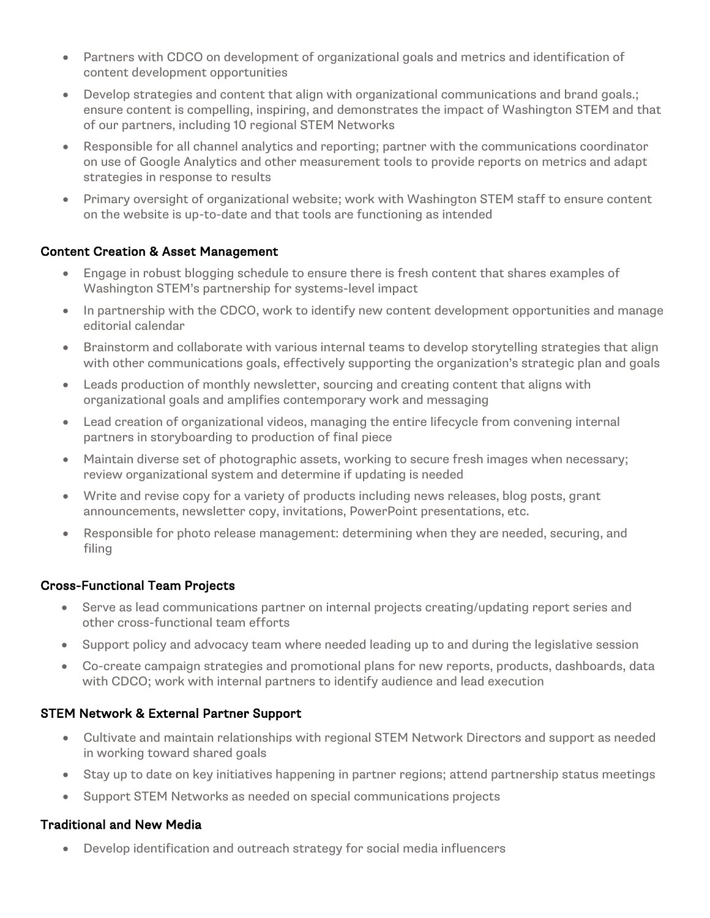- Partners with CDCO on development of organizational goals and metrics and identification of content development opportunities
- Develop strategies and content that align with organizational communications and brand goals.; ensure content is compelling, inspiring, and demonstrates the impact of Washington STEM and that of our partners, including 10 regional STEM Networks
- Responsible for all channel analytics and reporting; partner with the communications coordinator on use of Google Analytics and other measurement tools to provide reports on metrics and adapt strategies in response to results
- Primary oversight of organizational website; work with Washington STEM staff to ensure content on the website is up-to-date and that tools are functioning as intended

#### Content Creation & Asset Management

- Engage in robust blogging schedule to ensure there is fresh content that shares examples of Washington STEM's partnership for systems-level impact
- In partnership with the CDCO, work to identify new content development opportunities and manage editorial calendar
- Brainstorm and collaborate with various internal teams to develop storytelling strategies that align with other communications goals, effectively supporting the organization's strategic plan and goals
- Leads production of monthly newsletter, sourcing and creating content that aligns with organizational goals and amplifies contemporary work and messaging
- Lead creation of organizational videos, managing the entire lifecycle from convening internal partners in storyboarding to production of final piece
- Maintain diverse set of photographic assets, working to secure fresh images when necessary; review organizational system and determine if updating is needed
- Write and revise copy for a variety of products including news releases, blog posts, grant announcements, newsletter copy, invitations, PowerPoint presentations, etc.
- Responsible for photo release management: determining when they are needed, securing, and filing

#### Cross-Functional Team Projects

- Serve as lead communications partner on internal projects creating/updating report series and other cross-functional team efforts
- Support policy and advocacy team where needed leading up to and during the legislative session
- Co-create campaign strategies and promotional plans for new reports, products, dashboards, data with CDCO; work with internal partners to identify audience and lead execution

#### STEM Network & External Partner Support

- Cultivate and maintain relationships with regional STEM Network Directors and support as needed in working toward shared goals
- Stay up to date on key initiatives happening in partner regions; attend partnership status meetings
- Support STEM Networks as needed on special communications projects

#### Traditional and New Media

• Develop identification and outreach strategy for social media influencers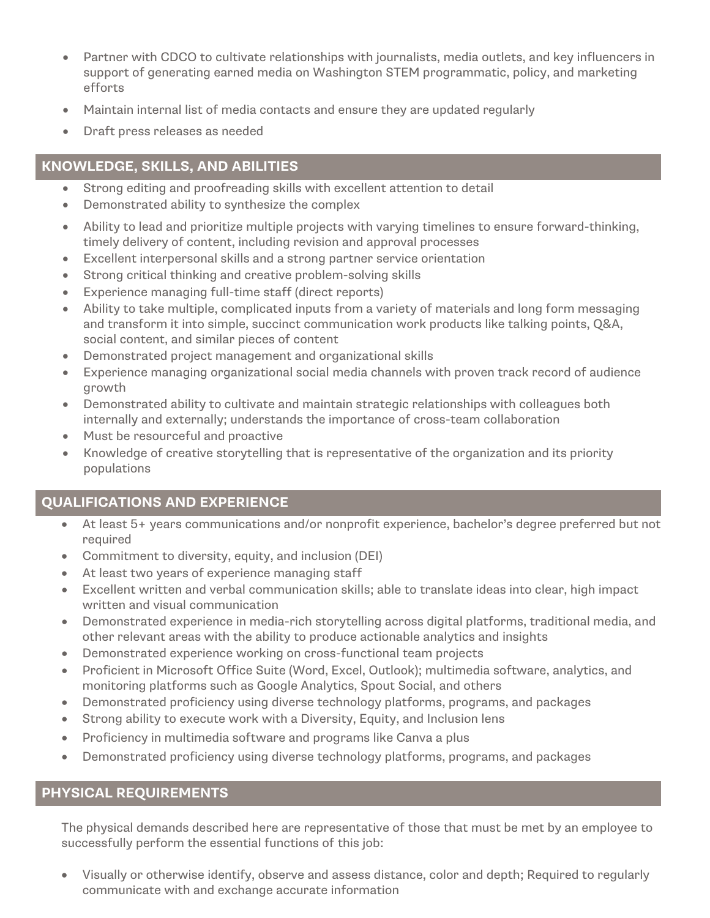- Partner with CDCO to cultivate relationships with journalists, media outlets, and key influencers in support of generating earned media on Washington STEM programmatic, policy, and marketing efforts
- Maintain internal list of media contacts and ensure they are updated regularly
- Draft press releases as needed

# **KNOWLEDGE, SKILLS, AND ABILITIES**

- Strong editing and proofreading skills with excellent attention to detail
- Demonstrated ability to synthesize the complex
- Ability to lead and prioritize multiple projects with varying timelines to ensure forward-thinking, timely delivery of content, including revision and approval processes
- Excellent interpersonal skills and a strong partner service orientation
- Strong critical thinking and creative problem-solving skills
- Experience managing full-time staff (direct reports)
- Ability to take multiple, complicated inputs from a variety of materials and long form messaging and transform it into simple, succinct communication work products like talking points, Q&A, social content, and similar pieces of content
- Demonstrated project management and organizational skills
- Experience managing organizational social media channels with proven track record of audience growth
- Demonstrated ability to cultivate and maintain strategic relationships with colleagues both internally and externally; understands the importance of cross-team collaboration
- Must be resourceful and proactive
- Knowledge of creative storytelling that is representative of the organization and its priority populations

## **QUALIFICATIONS AND EXPERIENCE**

- At least 5+ years communications and/or nonprofit experience, bachelor's degree preferred but not required
- Commitment to diversity, equity, and inclusion (DEI)
- At least two years of experience managing staff
- Excellent written and verbal communication skills; able to translate ideas into clear, high impact written and visual communication
- Demonstrated experience in media-rich storytelling across digital platforms, traditional media, and other relevant areas with the ability to produce actionable analytics and insights
- Demonstrated experience working on cross-functional team projects
- Proficient in Microsoft Office Suite (Word, Excel, Outlook); multimedia software, analytics, and monitoring platforms such as Google Analytics, Spout Social, and others
- Demonstrated proficiency using diverse technology platforms, programs, and packages
- Strong ability to execute work with a Diversity, Equity, and Inclusion lens
- Proficiency in multimedia software and programs like Canva a plus
- Demonstrated proficiency using diverse technology platforms, programs, and packages

## **PHYSICAL REQUIREMENTS**

The physical demands described here are representative of those that must be met by an employee to successfully perform the essential functions of this job:

• Visually or otherwise identify, observe and assess distance, color and depth; Required to regularly communicate with and exchange accurate information